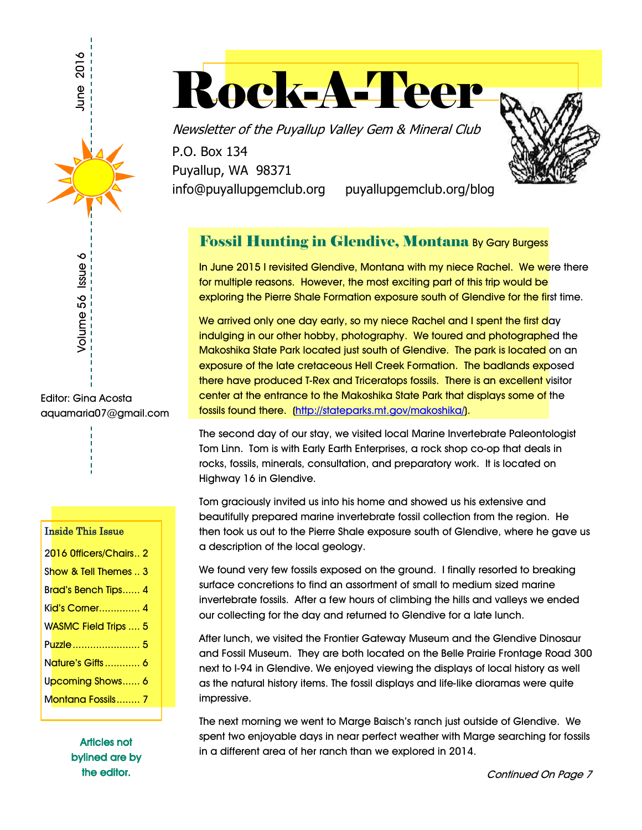

Rock-A-Teer

Newsletter of the Puyallup Valley Gem & Mineral Club

P.O. Box 134 Puyallup, WA 98371

info@puyallupgemclub.org puyallupgemclub.org/blog

## Fossil Hunting in Glendive, Montana By Gary Burgess

In June 2015 I revisited Glendive, Montana with my niece Rachel. We were there for multiple reasons. However, the most exciting part of this trip would be exploring the Pierre Shale Formation exposure south of Glendive for the first time.

We arrived only one day early, so my niece Rachel and I spent the first day indulging in our other hobby, photography. We toured and photographed the Makoshika State Park located just south of Glendive. The park is located on an exposure of the late cretaceous Hell Creek Formation. The badlands exposed there have produced T-Rex and Triceratops fossils. There is an excellent visitor center at the entrance to the Makoshika State Park that displays some of the fossils found there. (http://stateparks.mt.gov/makoshika/).

The second day of our stay, we visited local Marine Invertebrate Paleontologist Tom Linn. Tom is with Early Earth Enterprises, a rock shop co-op that deals in rocks, fossils, minerals, consultation, and preparatory work. It is located on Highway 16 in Glendive.

Tom graciously invited us into his home and showed us his extensive and beautifully prepared marine invertebrate fossil collection from the region. He then took us out to the Pierre Shale exposure south of Glendive, where he gave us a description of the local geology.

We found very few fossils exposed on the ground. I finally resorted to breaking surface concretions to find an assortment of small to medium sized marine invertebrate fossils. After a few hours of climbing the hills and valleys we ended our collecting for the day and returned to Glendive for a late lunch.

After lunch, we visited the Frontier Gateway Museum and the Glendive Dinosaur and Fossil Museum. They are both located on the Belle Prairie Frontage Road 300 next to I-94 in Glendive. We enjoyed viewing the displays of local history as well as the natural history items. The fossil displays and life-like dioramas were quite impressive.

The next morning we went to Marge Baisch's ranch just outside of Glendive. We spent two enjoyable days in near perfect weather with Marge searching for fossils in a different area of her ranch than we explored in 2014.

Editor: Gina Acosta aquamaria07@gmail.com

#### Inside This Issue

| 2016 Officers/Chairs 2       |
|------------------------------|
| Show & Tell Themes  3        |
| Brad's Bench Tips 4          |
| Ki <mark>d's Corner 4</mark> |
| <b>WASMC Field Trips  5</b>  |
| Puzzle  5                    |
| Nature's Gifts  6            |
| Upcoming Shows 6             |
| Montana Fossils 7            |
|                              |

Articles not bylined are by the editor.

Continued On Page 7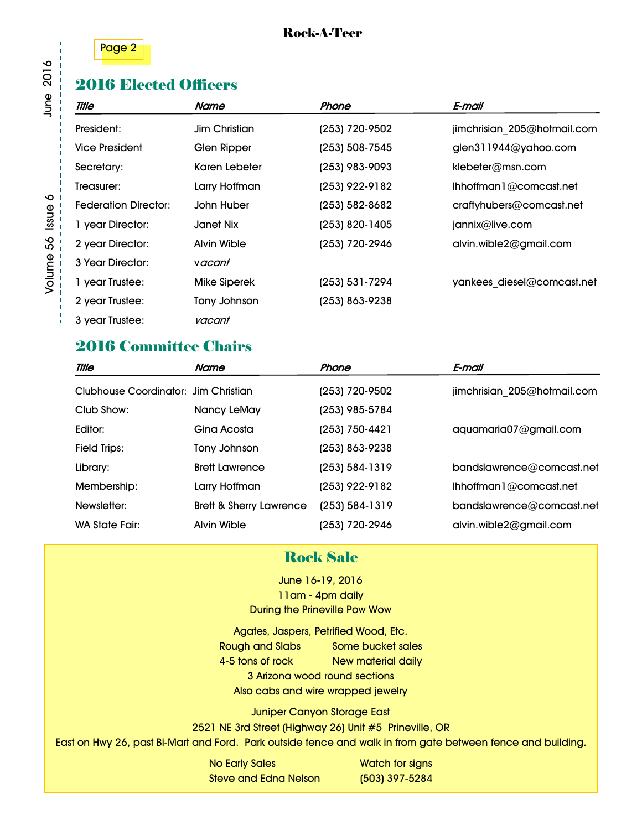



## 2016 Elected Officers

| Title                       | Name                | Phone          | E-mail                      |
|-----------------------------|---------------------|----------------|-----------------------------|
| President:                  | Jim Christian       | (253) 720-9502 | jimchrisian 205@hotmail.com |
| <b>Vice President</b>       | Glen Ripper         | (253) 508-7545 | glen311944@yahoo.com        |
| Secretary:                  | Karen Lebeter       | (253) 983-9093 | klebeter@msn.com            |
| Treasurer:                  | Larry Hoffman       | (253) 922-9182 | Ihhoffman1@comcast.net      |
| <b>Federation Director:</b> | John Huber          | (253) 582-8682 | craftyhubers@comcast.net    |
| 1 year Director:            | Janet Nix           | (253) 820-1405 | jannix@live.com             |
| 2 year Director:            | Alvin Wible         | (253) 720-2946 | alvin.wible2@gmail.com      |
| 3 Year Director:            | vacant              |                |                             |
| 1 year Trustee:             | <b>Mike Siperek</b> | (253) 531-7294 | yankees diesel@comcast.net  |
| 2 year Trustee:             | Tony Johnson        | (253) 863-9238 |                             |
| 3 year Trustee:             | vacant              |                |                             |

## 2016 Committee Chairs

| Title                                | Name                               | Phone              | E-mail                      |
|--------------------------------------|------------------------------------|--------------------|-----------------------------|
| Clubhouse Coordinator: Jim Christian |                                    | (253) 720-9502     | jimchrisian 205@hotmail.com |
| Club Show:                           | Nancy LeMay                        | (253) 985-5784     |                             |
| Editor:                              | Gina Acosta                        | (253) 750-4421     | aquamaria07@gmail.com       |
| <b>Field Trips:</b>                  | Tony Johnson                       | (253) 863-9238     |                             |
| Library:                             | <b>Brett Lawrence</b>              | (253) 584-1319     | bandslawrence@comcast.net   |
| Membership:                          | Larry Hoffman                      | (253) 922-9182     | Ihhoffman 1@comcast.net     |
| Newsletter:                          | <b>Brett &amp; Sherry Lawrence</b> | $(253) 584 - 1319$ | bandslawrence@comcast.net   |
| <b>WA State Fair:</b>                | Alvin Wible                        | (253) 720-2946     | alvin.wible2@gmail.com      |

## Rock Sale

June 16-19, 2016 11am - 4pm daily During the Prineville Pow Wow

Agates, Jaspers, Petrified Wood, Etc. Rough and Slabs Some bucket sales 4-5 tons of rock New material daily 3 Arizona wood round sections Also cabs and wire wrapped jewelry

Juniper Canyon Storage East 2521 NE 3rd Street (Highway 26) Unit #5 Prineville, OR

East on Hwy 26, past Bi-Mart and Ford. Park outside fence and walk in from gate between fence and building.

No Early Sales Watch for signs Steve and Edna Nelson (503) 397-5284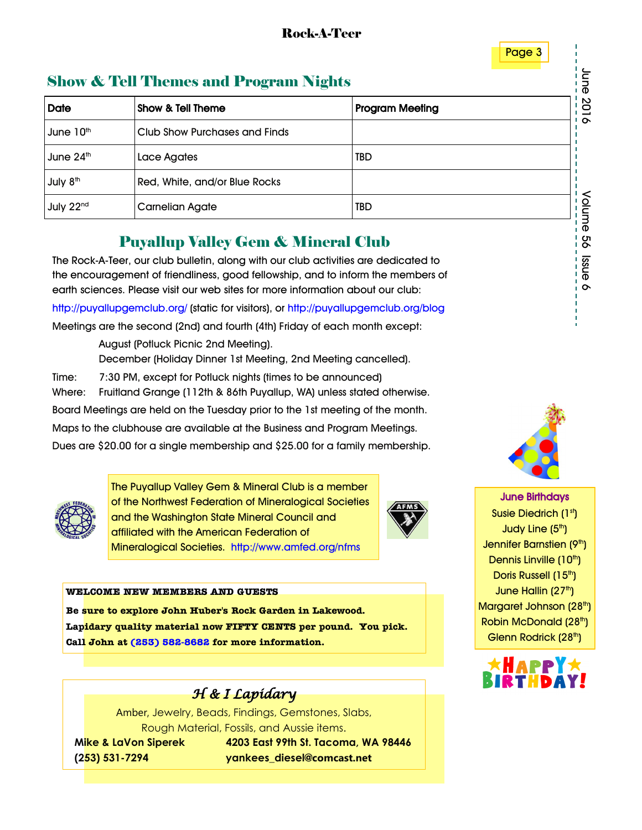

# Show & Tell Themes and Program Nights

| <b>Show &amp; Tell Themes and Program Nights</b> |                                                                                                                                                                                                                                                            |     |           |  |  |  |
|--------------------------------------------------|------------------------------------------------------------------------------------------------------------------------------------------------------------------------------------------------------------------------------------------------------------|-----|-----------|--|--|--|
| <b>Date</b>                                      | Show & Tell Theme<br><b>Program Meeting</b>                                                                                                                                                                                                                |     |           |  |  |  |
| June 10 <sup>th</sup>                            | Club Show Purchases and Finds                                                                                                                                                                                                                              |     | 2016      |  |  |  |
| June 24 <sup>th</sup>                            | Lace Agates                                                                                                                                                                                                                                                | TBD |           |  |  |  |
| July 8 <sup>th</sup>                             | Red, White, and/or Blue Rocks                                                                                                                                                                                                                              |     |           |  |  |  |
| July 22 <sup>nd</sup>                            | <b>Carnelian Agate</b>                                                                                                                                                                                                                                     | TBD | Volume    |  |  |  |
|                                                  | <b>Puyallup Valley Gem &amp; Mineral Club</b>                                                                                                                                                                                                              |     | o<br>O    |  |  |  |
|                                                  | The Rock-A-Teer, our club bulletin, along with our club activities are dedicated to<br>the encouragement of friendliness, good fellowship, and to inform the members of<br>earth sciences. Please visit our web sites for more information about our club. |     | enss<br>ᡐ |  |  |  |

## Puyallup Valley Gem & Mineral Club

The Rock-A-Teer, our club bulletin, along with our club activities are dedicated to the encouragement of friendliness, good fellowship, and to inform the members of earth sciences. Please visit our web sites for more information about our club:

http://puyallupgemclub.org/ (static for visitors), or http://puyallupgemclub.org/blog

Meetings are the second (2nd) and fourth (4th) Friday of each month except:

 August (Potluck Picnic 2nd Meeting). December (Holiday Dinner 1st Meeting, 2nd Meeting cancelled). Time: 7:30 PM, except for Potluck nights (times to be announced)

Where: Fruitland Grange (112th & 86th Puyallup, WA) unless stated otherwise.

Board Meetings are held on the Tuesday prior to the 1st meeting of the month. Maps to the clubhouse are available at the Business and Program Meetings.

Dues are \$20.00 for a single membership and \$25.00 for a family membership.



The Puyallup Valley Gem & Mineral Club is a member of the Northwest Federation of Mineralogical Societies and the Washington State Mineral Council and affiliated with the American Federation of Mineralogical Societies. http://www.amfed.org/nfms



#### **WELCOME NEW MEMBERS AND GUESTS**

**Be sure to explore John Huber's Rock Garden in Lakewood. Lapidary quality material now FIFTY CENTS per pound. You pick. Call John at [\(253\) 582-8682](tel:253-582-8682) for more information.**



Amber, Jewelry, Beads, Findings, Gemstones, Slabs, Rough Material, Fossils, and Aussie items.

 **Mike & LaVon Siperek 4203 East 99th St. Tacoma, WA 98446 (253) 531-7294 yankees\_diesel@comcast.net**



 $\overline{56}$ 

June Birthdays Susie Diedrich (1st) Judy Line  $(5<sup>th</sup>)$ Jennifer Barnstien (9th) Dennis Linville (10<sup>th</sup>) Doris Russell (15<sup>th</sup>) June Hallin (27th) Margaret Johnson (28<sup>th</sup>) Robin McDonald (28<sup>th</sup>) Glenn Rodrick (28<sup>th</sup>)

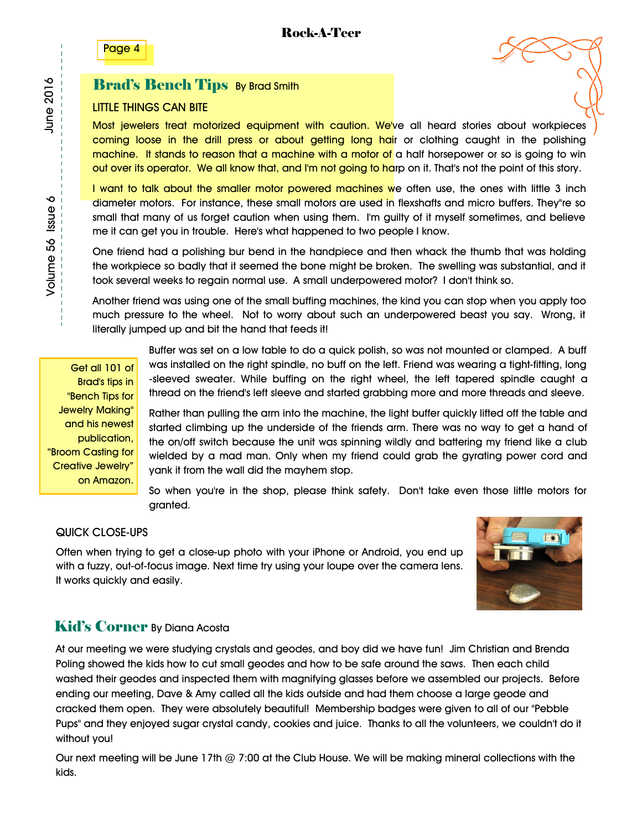Page 4

#### **Brad's Bench Tips By Brad Smith**

#### LITTLE THINGS CAN BITE

Most jewelers treat motorized equipment with caution. We've all heard stories about workpieces coming loose in the drill press or about getting long hair or clothing caught in the polishing machine. It stands to reason that a machine with a motor of a half horsepower or so is going to win out over its operator. We all know that, and I'm not going to harp on it. That's not the point of this story.

I want to talk about the smaller motor powered machines we often use, the ones with little 3 inch diameter motors. For instance, these small motors are used in flexshafts and micro buffers. They"re so small that many of us forget caution when using them. I'm guilty of it myself sometimes, and believe me it can get you in trouble. Here's what happened to two people I know.

One friend had a polishing bur bend in the handpiece and then whack the thumb that was holding the workpiece so badly that it seemed the bone might be broken. The swelling was substantial, and it took several weeks to regain normal use. A small underpowered motor? I don't think so.

Another friend was using one of the small buffing machines, the kind you can stop when you apply too much pressure to the wheel. Not to worry about such an underpowered beast you say. Wrong, it literally jumped up and bit the hand that feeds it!

Get all 101 of Brad's tips in "Bench Tips for Jewelry Making" and his newest publication, "Broom Casting for Creative Jewelry" on Amazon.

Buffer was set on a low table to do a quick polish, so was not mounted or clamped. A buff was installed on the right spindle, no buff on the left. Friend was wearing a tight-fitting, long -sleeved sweater. While buffing on the right wheel, the left tapered spindle caught a thread on the friend's left sleeve and started grabbing more and more threads and sleeve.

Rather than pulling the arm into the machine, the light buffer quickly lifted off the table and started climbing up the underside of the friends arm. There was no way to get a hand of the on/off switch because the unit was spinning wildly and battering my friend like a club wielded by a mad man. Only when my friend could grab the gyrating power cord and yank it from the wall did the mayhem stop.

So when you're in the shop, please think safety. Don't take even those little motors for granted.

#### QUICK CLOSE-UPS

Often when trying to get a close-up photo with your iPhone or Android, you end up with a fuzzy, out-of-focus image. Next time try using your loupe over the camera lens. It works quickly and easily.



#### Kid's Corner By Diana Acosta

At our meeting we were studying crystals and geodes, and boy did we have fun! Jim Christian and Brenda Poling showed the kids how to cut small geodes and how to be safe around the saws. Then each child washed their geodes and inspected them with magnifying glasses before we assembled our projects. Before ending our meeting, Dave & Amy called all the kids outside and had them choose a large geode and cracked them open. They were absolutely beautiful! Membership badges were given to all of our "Pebble Pups" and they enjoyed sugar crystal candy, cookies and juice. Thanks to all the volunteers, we couldn't do it without you!

Our next meeting will be June 17th @ 7:00 at the Club House. We will be making mineral collections with the kids.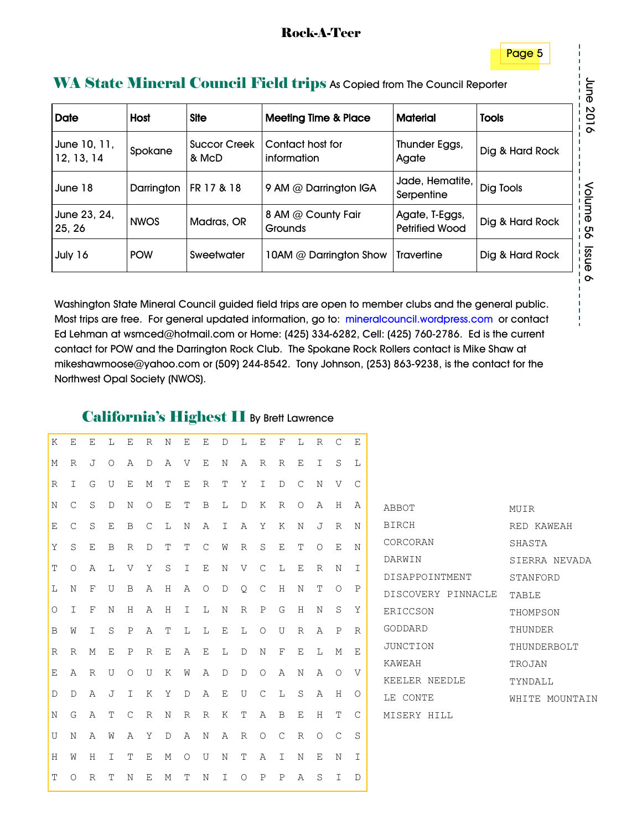#### WA State Mineral Council Field trips As Copied from The Council Reporter

| <b>Date</b>                | Host        | <b>Site</b>                  | <b>Meeting Time &amp; Place</b> | <b>Material</b>                         | <b>Tools</b>    |
|----------------------------|-------------|------------------------------|---------------------------------|-----------------------------------------|-----------------|
| June 10, 11,<br>12, 13, 14 | Spokane     | <b>Succor Creek</b><br>& McD | Contact host for<br>information | Thunder Eggs,<br>Agate                  | Dig & Hard Rock |
| June 18                    | Darrington  | FR 17 & 18                   | 9 AM @ Darrington IGA           | Jade, Hematite,<br>Serpentine           | Dig Tools       |
| June 23, 24,<br>25, 26     | <b>NWOS</b> | Madras, OR                   | 8 AM @ County Fair<br>Grounds   | Agate, T-Eggs,<br><b>Petrified Wood</b> | Dig & Hard Rock |
| July 16                    | <b>POW</b>  | Sweetwater                   | 10AM @ Darrington Show          | <b>Travertine</b>                       | Dig & Hard Rock |

Washington State Mineral Council guided field trips are open to member clubs and the general public. Most trips are free. For general updated information, go to: mineralcouncil.wordpress.com or contact Ed Lehman at wsmced@hotmail.com or Home: (425) 334-6282, Cell: (425) 760-2786. Ed is the current contact for POW and the Darrington Rock Club. The Spokane Rock Rollers contact is Mike Shaw at mikeshawmoose@yahoo.com or (509) 244-8542. Tony Johnson, (253) 863-9238, is the contact for the Northwest Opal Society (NWOS).

#### California's Highest II By Brett Lawrence

| Κ           | Ε             | E       | L       | Ε            | R       | N       | Ε       | Ε             | D           | L | Ε             | F           | L           | $\mathbb R$ | $\mathcal{C}$ | Ε             |
|-------------|---------------|---------|---------|--------------|---------|---------|---------|---------------|-------------|---|---------------|-------------|-------------|-------------|---------------|---------------|
| М           | R             | J       | $\circ$ | Α            | D       | Α       | V       | Ε             | N           | Α | R             | R           | E           | I           | S             | L             |
| $\mathbb R$ | I             | G       | U       | Ε            | М       | Τ       | Ε       | $\mathbb R$   | T           | Υ | I             | D           | $\mathsf C$ | N           | V             | $\mathsf{C}$  |
| $\rm N$     | $\mathcal{C}$ | S       | D       | $\rm N$      | $\circ$ | Ε       | T       | B             | L           | D | Κ             | R           | $\circ$     | Α           | H             | Α             |
| Ε           | C             | $\rm S$ | E       | B            | C       | L       | N       | Α             | Ι           | Α | Υ             | К           | $\rm N$     | J           | $\mathbb R$   | Ν             |
| Υ           | S             | E       | B       | R            | D       | Τ       | Τ       | $\mathcal{C}$ | W           | R | S             | Ε           | Т           | $\circ$     | Ε             | N             |
| T           | $\circ$       | Α       | L       | V            | Υ       | $\rm S$ | I       | E             | N           | V | $\mathcal{C}$ | L           | Ε           | $\mathbb R$ | N             | I             |
| L           | N             | F       | U       | B            | Α       | Η       | Α       | $\circ$       | $\mathbb D$ | Q | $\mathsf{C}$  | Η           | N           | T           | $\circ$       | Ρ             |
| $\bigcirc$  | Ι             | F       | N       | Η            | Α       | Η       | Ι       | L             | N           | R | Ρ             | G           | Η           | N           | S             | Υ             |
| B           | W             | I       | S       | Ρ            | Α       | Τ       | L       | L             | Ε           | L | $\circ$       | U           | R           | Α           | Ρ             | R             |
| R           | R             | М       | E       | $\, {\bf P}$ | R       | Ε       | Α       | Ε             | L           | D | Ν             | F           | E           | L           | М             | Ε             |
| Ε           | Α             | R       | U       | $\circ$      | U       | Κ       | W       | Α             | D           | D | О             | Α           | N           | Α           | О             | V             |
| $\mathbb D$ | D             | Α       | J       | I            | Κ       | Υ       | D       | Α             | Ε           | U | C             | L           | S           | Α           | Η             | $\circ$       |
| N           | G             | Α       | T       | $\mathsf C$  | $\,$ R  | N       | R       | R             | К           | T | Α             | B           | Ε           | $\rm H$     | Τ             | $\mathcal{C}$ |
| U           | Ν             | Α       | W       | Α            | Υ       | D       | Α       | Ν             | Α           | R | O             | $\mathsf C$ | R           | $\circ$     | С             | S             |
| Η           | W             | Η       | I       | Τ            | Ε       | М       | $\circ$ | U             | N           | Τ | Α             | I           | N           | Ε           | N             | I             |
| T           | $\circ$       | R       | T       | $\rm N$      | Ε       | М       | T       | N             | I           | O | P             | P           | Α           | S           | $\mathbbm{I}$ | D             |

| ABBOT              | MUIR           |  |  |  |  |
|--------------------|----------------|--|--|--|--|
| <b>BIRCH</b>       | RED KAWEAH     |  |  |  |  |
| CORCORAN           | SHASTA         |  |  |  |  |
| DARWIN             | SIERRA NEVADA  |  |  |  |  |
| DISAPPOINTMENT     | STANFORD       |  |  |  |  |
| DISCOVERY PINNACLE | TABLE          |  |  |  |  |
| ERICCSON           | THOMPSON       |  |  |  |  |
| GODDARD            | THUNDER        |  |  |  |  |
| JUNCTION           | THUNDERBOLT    |  |  |  |  |
| KAWEAH             | TROJAN         |  |  |  |  |
| KEELER NEEDLE      | TYNDALL        |  |  |  |  |
| LE CONTE           | WHITE MOUNTAIN |  |  |  |  |
| MISERY HILL        |                |  |  |  |  |

juh June 2016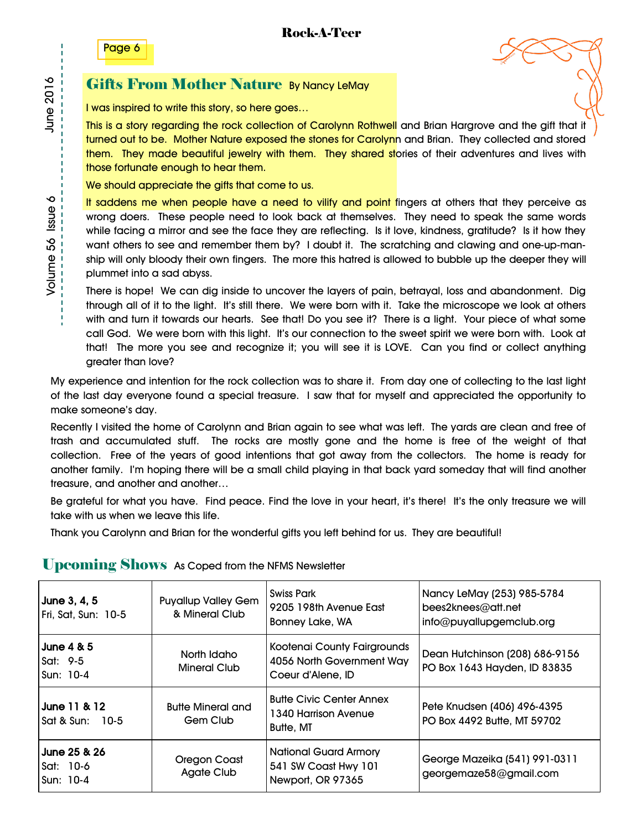

#### Gifts From Mother Nature By Nancy LeMay

I was inspired to write this story, so here goes…

This is a story regarding the rock collection of Carolynn Rothwell and Brian Hargrove and the gift that it turned out to be. Mother Nature exposed the stones for Carolynn and Brian. They collected and stored them. They made beautiful jewelry with them. They shared stories of their adventures and lives with those fortunate enough to hear them.

We should appreciate the gifts that come to us.

It saddens me when people have a need to vilify and point fingers at others that they perceive as wrong doers. These people need to look back at themselves. They need to speak the same words while facing a mirror and see the face they are reflecting. Is it love, kindness, gratitude? Is it how they want others to see and remember them by? I doubt it. The scratching and clawing and one-up-manship will only bloody their own fingers. The more this hatred is allowed to bubble up the deeper they will plummet into a sad abyss.

There is hope! We can dig inside to uncover the layers of pain, betrayal, loss and abandonment. Dig through all of it to the light. It's still there. We were born with it. Take the microscope we look at others with and turn it towards our hearts. See that! Do you see it? There is a light. Your piece of what some call God. We were born with this light. It's our connection to the sweet spirit we were born with. Look at that! The more you see and recognize it; you will see it is LOVE. Can you find or collect anything greater than love?

My experience and intention for the rock collection was to share it. From day one of collecting to the last light of the last day everyone found a special treasure. I saw that for myself and appreciated the opportunity to make someone's day.

Recently I visited the home of Carolynn and Brian again to see what was left. The yards are clean and free of trash and accumulated stuff. The rocks are mostly gone and the home is free of the weight of that collection. Free of the years of good intentions that got away from the collectors. The home is ready for another family. I'm hoping there will be a small child playing in that back yard someday that will find another treasure, and another and another…

Be grateful for what you have. Find peace. Find the love in your heart, it's there! It's the only treasure we will take with us when we leave this life.

Thank you Carolynn and Brian for the wonderful gifts you left behind for us. They are beautiful!

## Upcoming Shows As Coped from the NFMS Newsletter

| June 3, 4, 5<br>Fri, Sat, Sun: 10-5              | <b>Puyallup Valley Gem</b><br>& Mineral Club | <b>Swiss Park</b><br>9205 198th Avenue East<br><b>Bonney Lake, WA</b>         | Nancy LeMay (253) 985-5784<br>bees2knees@att.net<br>info@puyallupgemclub.org |
|--------------------------------------------------|----------------------------------------------|-------------------------------------------------------------------------------|------------------------------------------------------------------------------|
| <b>June 4 &amp; 5</b><br> Sat: 9-5<br>lSun: 10-4 | North Idaho<br><b>Mineral Club</b>           | Kootenai County Fairgrounds<br>4056 North Government Way<br>Coeur d'Alene, ID | Dean Hutchinson (208) 686-9156<br>PO Box 1643 Hayden, ID 83835               |
| June 11 & 12<br>Sat & Sun: 10-5                  | <b>Butte Mineral and</b><br>Gem Club         | <b>Butte Civic Center Annex</b><br>1340 Harrison Avenue<br><b>Butte, MT</b>   | Pete Knudsen (406) 496-4395<br>PO Box 4492 Butte, MT 59702                   |
| June 25 & 26<br>Sat: 10-6<br>Sun: 10-4           | Oregon Coast<br><b>Agate Club</b>            | National Guard Armory<br>541 SW Coast Hwy 101<br>Newport, OR 97365            | George Mazeika (541) 991-0311<br>georgemaze58@gmail.com                      |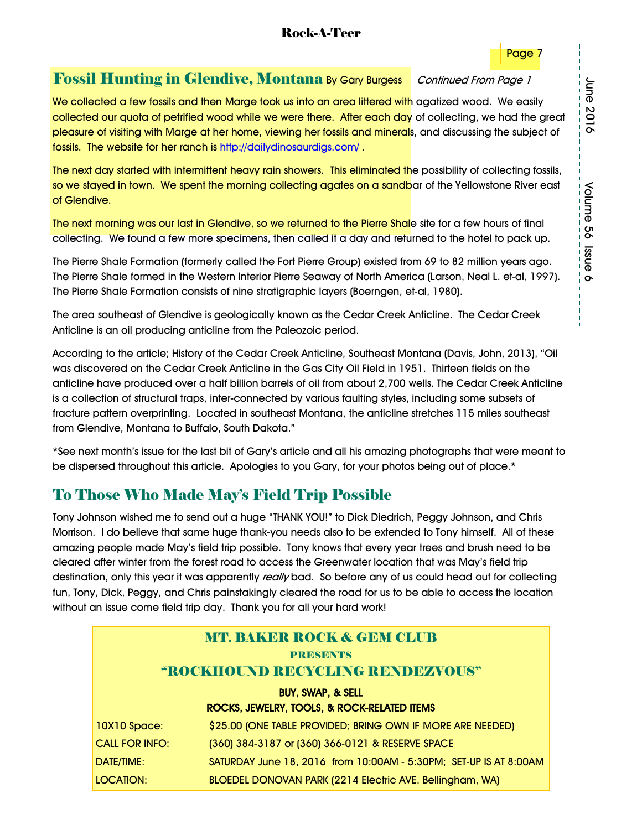#### Rock-A-Teer

#### Page 7

## Fossil Hunting in Glendive, Montana By Gary Burgess Continued From Page 1

We collected a few fossils and then Marge took us into an area littered with agatized wood. We easily collected our quota of petrified wood while we were there. After each day of collecting, we had the great pleasure of visiting with Marge at her home, viewing her fossils and minerals, and discussing the subject of fossils. The website for her ranch is http://dailydinosaurdigs.com/ .

The next day started with intermittent heavy rain showers. This eliminated the possibility of collecting fossils, so we stayed in town. We spent the morning collecting agates on a sandbar of the Yellowstone River east of Glendive.

The next morning was our last in Glendive, so we returned to the Pierre Shale site for a few hours of final collecting. We found a few more specimens, then called it a day and returned to the hotel to pack up.

The Pierre Shale Formation (formerly called the Fort Pierre Group) existed from 69 to 82 million years ago. The Pierre Shale formed in the Western Interior Pierre Seaway of North America (Larson, Neal L. et-al, 1997). The Pierre Shale Formation consists of nine stratigraphic layers (Boerngen, et-al, 1980).

The area southeast of Glendive is geologically known as the Cedar Creek Anticline. The Cedar Creek Anticline is an oil producing anticline from the Paleozoic period.

According to the article; History of the Cedar Creek Anticline, Southeast Montana (Davis, John, 2013), "Oil was discovered on the Cedar Creek Anticline in the Gas City Oil Field in 1951. Thirteen fields on the anticline have produced over a half billion barrels of oil from about 2,700 wells. The Cedar Creek Anticline is a collection of structural traps, inter-connected by various faulting styles, including some subsets of fracture pattern overprinting. Located in southeast Montana, the anticline stretches 115 miles southeast from Glendive, Montana to Buffalo, South Dakota."

\*See next month's issue for the last bit of Gary's article and all his amazing photographs that were meant to be dispersed throughout this article. Apologies to you Gary, for your photos being out of place.\*

## To Those Who Made May's Field Trip Possible

Tony Johnson wished me to send out a huge "THANK YOU!" to Dick Diedrich, Peggy Johnson, and Chris Morrison. I do believe that same huge thank-you needs also to be extended to Tony himself. All of these amazing people made May's field trip possible. Tony knows that every year trees and brush need to be cleared after winter from the forest road to access the Greenwater location that was May's field trip destination, only this year it was apparently really bad. So before any of us could head out for collecting fun, Tony, Dick, Peggy, and Chris painstakingly cleared the road for us to be able to access the location without an issue come field trip day. Thank you for all your hard work!

| <b>MT. BAKER ROCK &amp; GEM CLUB</b><br>PRESENTS<br>"ROCKHOUND RECYCLING RENDEZVOUS" |                                                                                                                       |  |  |  |  |  |  |
|--------------------------------------------------------------------------------------|-----------------------------------------------------------------------------------------------------------------------|--|--|--|--|--|--|
| <b>BUY, SWAP, &amp; SELL</b><br>ROCKS, JEWELRY, TOOLS, & ROCK-RELATED ITEMS          |                                                                                                                       |  |  |  |  |  |  |
| 10X10 Space:                                                                         | \$25.00 (ONE TABLE PROVIDED; BRING OWN IF MORE ARE NEEDED)                                                            |  |  |  |  |  |  |
| <b>CALL FOR INFO:</b><br>DATE/TIME:                                                  | (360) 384-3187 or (360) 366-0121 & RESERVE SPACE<br>SATURDAY June 18, 2016 from 10:00AM - 5:30PM; SET-UP IS AT 8:00AM |  |  |  |  |  |  |
| <b>LOCATION:</b>                                                                     | BLOEDEL DONOVAN PARK (2214 Electric AVE. Bellingham, WA)                                                              |  |  |  |  |  |  |

June 2016 June 2016